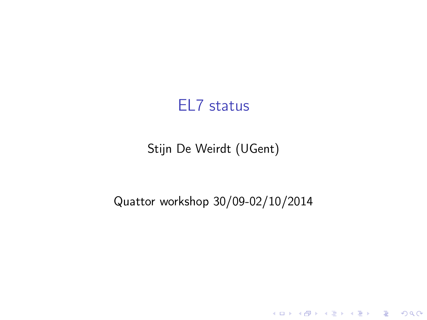#### EL7 status

#### Stijn De Weirdt (UGent)

#### Quattor workshop 30/09-02/10/2014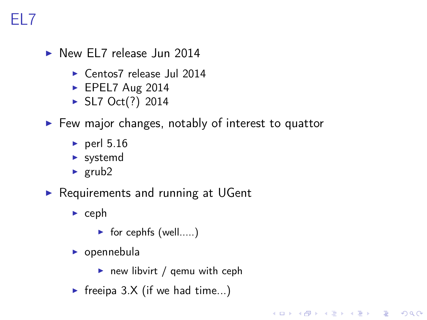- $\triangleright$  New EL7 release Jun 2014
	- $\triangleright$  Centos7 release Jul 2014
	- $\blacktriangleright$  EPEL7 Aug 2014
	- $\triangleright$  SL7 Oct(?) 2014
- $\blacktriangleright$  Few major changes, notably of interest to quattor
	- $\blacktriangleright$  perl 5.16
	- $\blacktriangleright$  systemd
	- $\blacktriangleright$  grub2
- $\triangleright$  Requirements and running at UGent
	- $\triangleright$  ceph
		- $\triangleright$  for cephfs (well.....)
	- $\triangleright$  opennebula
		- $\triangleright$  new libvirt / gemu with ceph

**KORKA REPARATION ADD** 

Freeipa  $3.X$  (if we had time...)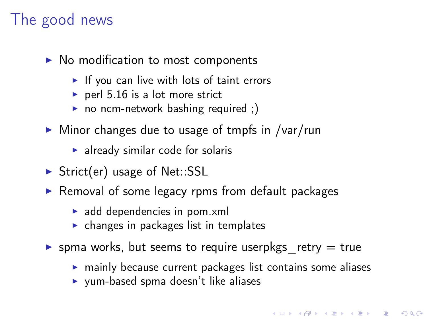## The good news

- $\triangleright$  No modification to most components
	- $\blacktriangleright$  If you can live with lots of taint errors
	- $\triangleright$  perl 5.16 is a lot more strict
	- no ncm-network bashing required ;)
- $\triangleright$  Minor changes due to usage of tmpfs in /var/run
	- $\blacktriangleright$  already similar code for solaris
- $\triangleright$  Strict(er) usage of Net::SSL
- $\triangleright$  Removal of some legacy rpms from default packages
	- $\blacktriangleright$  add dependencies in pom. xml
	- $\triangleright$  changes in packages list in templates
- **If** spma works, but seems to require userpkgs retry  $=$  true
	- $\triangleright$  mainly because current packages list contains some aliases
	- $\blacktriangleright$  yum-based spma doesn't like aliases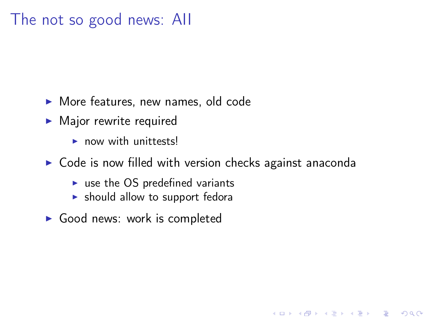### The not so good news: AII

- $\blacktriangleright$  More features, new names, old code
- $\blacktriangleright$  Major rewrite required
	- $\triangleright$  now with unittests!
- $\triangleright$  Code is now filled with version checks against anaconda

**KORKA REPARATION ADD** 

- $\triangleright$  use the OS predefined variants
- $\blacktriangleright$  should allow to support fedora
- $\triangleright$  Good news: work is completed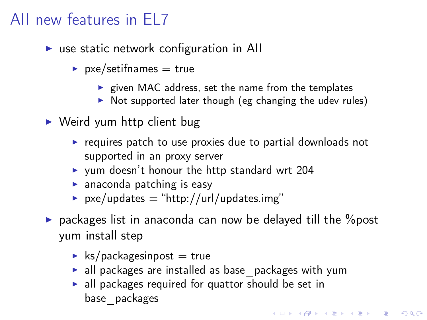## AII new features in EL7

- $\triangleright$  use static network configuration in All
	- $\triangleright$  pxe/setifnames = true
		- $\triangleright$  given MAC address, set the name from the templates
		- $\triangleright$  Not supported later though (eg changing the udev rules)
- $\blacktriangleright$  Weird yum http client bug
	- $\triangleright$  requires patch to use proxies due to partial downloads not supported in an proxy server
	- $\triangleright$  yum doesn't honour the http standard wrt 204
	- $\blacktriangleright$  anaconda patching is easy
	- $\triangleright$  pxe/updates = "http://url/updates.img"
- $\triangleright$  packages list in anaconda can now be delayed till the  $\%$ post yum install step
	- $\blacktriangleright$  ks/packagesinpost = true
	- $\blacktriangleright$  all packages are installed as base packages with yum

**A DIA K PIA A BIA A BIA A Q A CA** 

 $\blacktriangleright$  all packages required for quattor should be set in base\_packages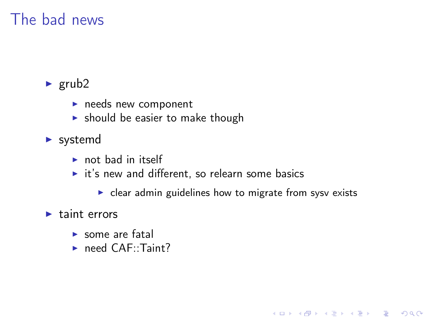## The bad news

#### $\blacktriangleright$  grub2

- $\blacktriangleright$  needs new component
- $\blacktriangleright$  should be easier to make though
- $\blacktriangleright$  systemd
	- $\triangleright$  not bad in itself
	- $\triangleright$  it's new and different, so relearn some basics
		- $\triangleright$  clear admin guidelines how to migrate from sysv exists

K ロ ▶ K @ ▶ K 할 X X 할 X → 할 X → 9 Q Q →

#### $\blacktriangleright$  taint errors

- $\blacktriangleright$  some are fatal
- $\blacktriangleright$  need CAF::Taint?